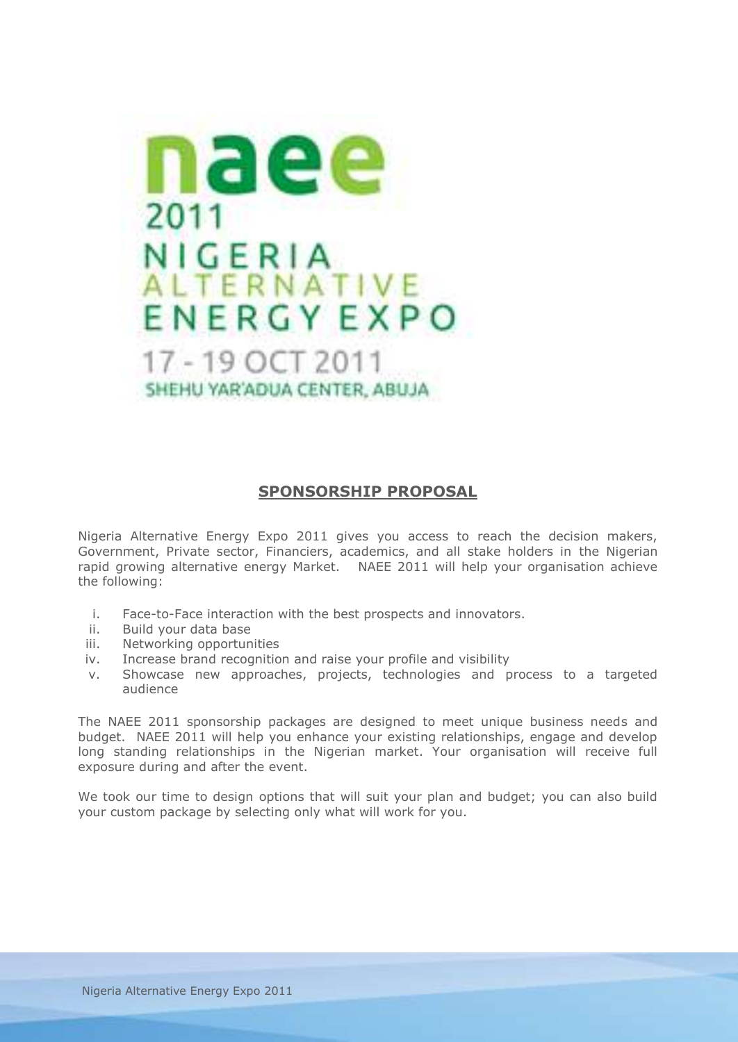

# **SPONSORSHIP PROPOSAL**

Nigeria Alternative Energy Expo 2011 gives you access to reach the decision makers, Government, Private sector, Financiers, academics, and all stake holders in the Nigerian rapid growing alternative energy Market. NAEE 2011 will help your organisation achieve the following:

- i. Face-to-Face interaction with the best prospects and innovators.
- ii. Build your data base
- iii. Networking opportunities
- iv. Increase brand recognition and raise your profile and visibility
- v. Showcase new approaches, projects, technologies and process to a targeted audience

The NAEE 2011 sponsorship packages are designed to meet unique business needs and budget. NAEE 2011 will help you enhance your existing relationships, engage and develop long standing relationships in the Nigerian market. Your organisation will receive full exposure during and after the event.

We took our time to design options that will suit your plan and budget; you can also build your custom package by selecting only what will work for you.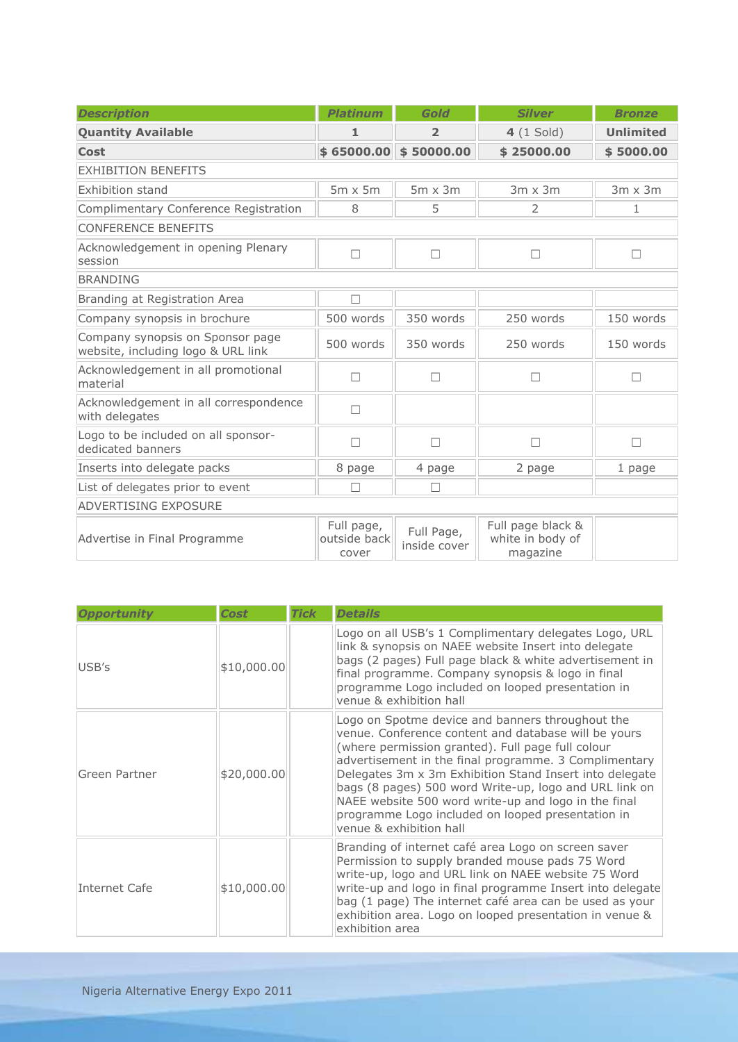| <b>Description</b>                                                     | <b>Platinum</b>                     | Gold                       | <b>Silver</b>                                     | <b>Bronze</b>    |
|------------------------------------------------------------------------|-------------------------------------|----------------------------|---------------------------------------------------|------------------|
| <b>Quantity Available</b>                                              | 1                                   | $\overline{2}$             | $4(1$ Sold)                                       | <b>Unlimited</b> |
| <b>Cost</b>                                                            | \$65000.00                          | \$50000.00                 | \$25000.00                                        | \$5000.00        |
| <b>EXHIBITION BENEFITS</b>                                             |                                     |                            |                                                   |                  |
| <b>Exhibition stand</b>                                                | $5m \times 5m$                      | $5m \times 3m$             | $3m \times 3m$                                    | $3m \times 3m$   |
| Complimentary Conference Registration                                  | 8                                   | 5                          | 2                                                 | 1                |
| <b>CONFERENCE BENEFITS</b>                                             |                                     |                            |                                                   |                  |
| Acknowledgement in opening Plenary<br>session                          | $\Box$                              | $\Box$                     | П                                                 | П                |
| <b>BRANDING</b>                                                        |                                     |                            |                                                   |                  |
| Branding at Registration Area                                          | П                                   |                            |                                                   |                  |
| Company synopsis in brochure                                           | 500 words                           | 350 words                  | 250 words                                         | 150 words        |
| Company synopsis on Sponsor page<br>website, including logo & URL link | 500 words                           | 350 words                  | 250 words                                         | 150 words        |
| Acknowledgement in all promotional<br>material                         | П                                   | $\Box$                     | П                                                 | П                |
| Acknowledgement in all correspondence<br>with delegates                | П                                   |                            |                                                   |                  |
| Logo to be included on all sponsor-<br>dedicated banners               |                                     | П                          | П                                                 | $\Box$           |
| Inserts into delegate packs                                            | 8 page                              | 4 page                     | 2 page                                            | 1 page           |
| List of delegates prior to event                                       |                                     | П                          |                                                   |                  |
| <b>ADVERTISING EXPOSURE</b>                                            |                                     |                            |                                                   |                  |
| Advertise in Final Programme                                           | Full page,<br>outside back<br>cover | Full Page,<br>inside cover | Full page black &<br>white in body of<br>magazine |                  |

| <b>Opportunity</b> | <b>Cost</b> | <b>Tick</b> | <b>Details</b>                                                                                                                                                                                                                                                                                                                                                                                                                                                                      |
|--------------------|-------------|-------------|-------------------------------------------------------------------------------------------------------------------------------------------------------------------------------------------------------------------------------------------------------------------------------------------------------------------------------------------------------------------------------------------------------------------------------------------------------------------------------------|
| USB's              | \$10,000.00 |             | Logo on all USB's 1 Complimentary delegates Logo, URL<br>link & synopsis on NAEE website Insert into delegate<br>bags (2 pages) Full page black & white advertisement in<br>final programme. Company synopsis & logo in final<br>programme Logo included on looped presentation in<br>venue & exhibition hall                                                                                                                                                                       |
| Green Partner      | \$20,000.00 |             | Logo on Spotme device and banners throughout the<br>venue. Conference content and database will be yours<br>(where permission granted). Full page full colour<br>advertisement in the final programme. 3 Complimentary<br>Delegates 3m x 3m Exhibition Stand Insert into delegate<br>bags (8 pages) 500 word Write-up, logo and URL link on<br>NAEE website 500 word write-up and logo in the final<br>programme Logo included on looped presentation in<br>venue & exhibition hall |
| Internet Cafe      | \$10,000.00 |             | Branding of internet café area Logo on screen saver<br>Permission to supply branded mouse pads 75 Word<br>write-up, logo and URL link on NAEE website 75 Word<br>write-up and logo in final programme Insert into delegate<br>bag (1 page) The internet café area can be used as your<br>exhibition area. Logo on looped presentation in venue &<br>exhibition area                                                                                                                 |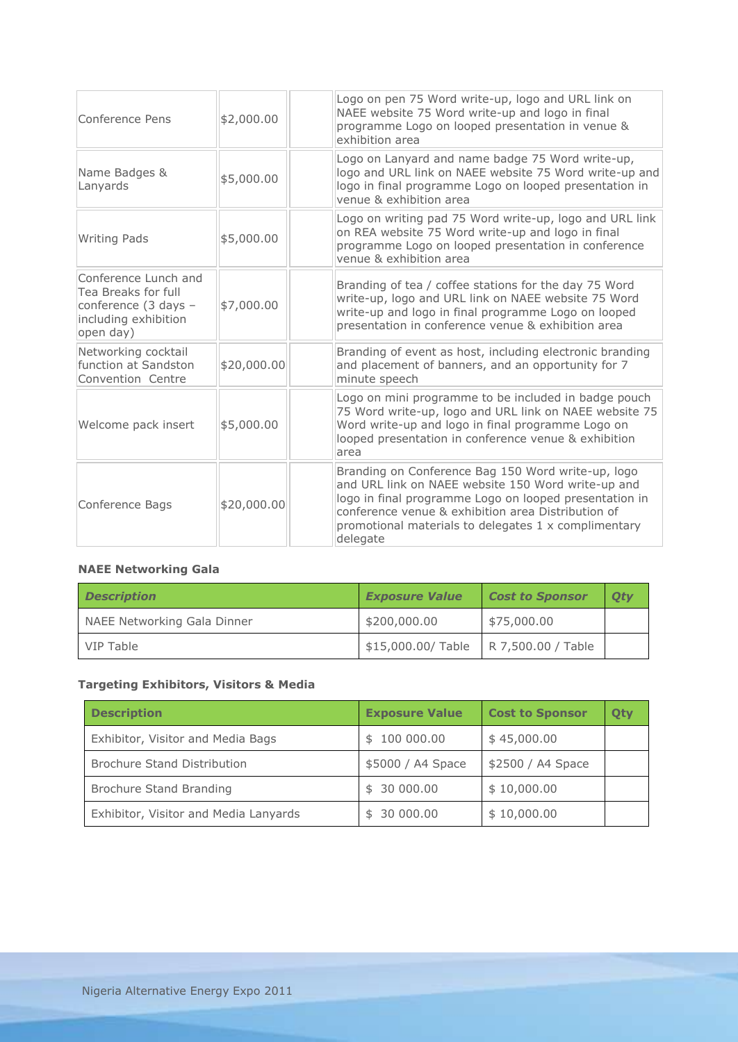| Conference Pens                                                                                          | \$2,000.00  | Logo on pen 75 Word write-up, logo and URL link on<br>NAEE website 75 Word write-up and logo in final<br>programme Logo on looped presentation in venue &<br>exhibition area                                                                                                                 |  |
|----------------------------------------------------------------------------------------------------------|-------------|----------------------------------------------------------------------------------------------------------------------------------------------------------------------------------------------------------------------------------------------------------------------------------------------|--|
| Name Badges &<br>Lanyards                                                                                | \$5,000.00  | Logo on Lanyard and name badge 75 Word write-up,<br>logo and URL link on NAEE website 75 Word write-up and<br>logo in final programme Logo on looped presentation in<br>venue & exhibition area                                                                                              |  |
| <b>Writing Pads</b>                                                                                      | \$5,000.00  | Logo on writing pad 75 Word write-up, logo and URL link<br>on REA website 75 Word write-up and logo in final<br>programme Logo on looped presentation in conference<br>venue & exhibition area                                                                                               |  |
| Conference Lunch and<br>Tea Breaks for full<br>conference (3 days -<br>including exhibition<br>open day) | \$7,000.00  | Branding of tea / coffee stations for the day 75 Word<br>write-up, logo and URL link on NAEE website 75 Word<br>write-up and logo in final programme Logo on looped<br>presentation in conference venue & exhibition area                                                                    |  |
| Networking cocktail<br>function at Sandston<br>Convention Centre                                         | \$20,000.00 | Branding of event as host, including electronic branding<br>and placement of banners, and an opportunity for 7<br>minute speech                                                                                                                                                              |  |
| Welcome pack insert                                                                                      | \$5,000.00  | Logo on mini programme to be included in badge pouch<br>75 Word write-up, logo and URL link on NAEE website 75<br>Word write-up and logo in final programme Logo on<br>looped presentation in conference venue & exhibition<br>area                                                          |  |
| Conference Bags                                                                                          | \$20,000.00 | Branding on Conference Bag 150 Word write-up, logo<br>and URL link on NAEE website 150 Word write-up and<br>logo in final programme Logo on looped presentation in<br>conference venue & exhibition area Distribution of<br>promotional materials to delegates 1 x complimentary<br>delegate |  |

# **NAEE Networking Gala**

| <b>Description</b>          | <b>Exposure Value</b>                  | Cost to Sponsor | Oty |
|-----------------------------|----------------------------------------|-----------------|-----|
| NAEE Networking Gala Dinner | \$200,000.00                           | \$75,000.00     |     |
| VIP Table                   | \$15,000.00/Table   R 7,500.00 / Table |                 |     |

## **Targeting Exhibitors, Visitors & Media**

| <b>Description</b>                    | <b>Exposure Value</b> | <b>Cost to Sponsor</b> | Otv |
|---------------------------------------|-----------------------|------------------------|-----|
| Exhibitor, Visitor and Media Bags     | \$100000.00           | \$45,000.00            |     |
| <b>Brochure Stand Distribution</b>    | \$5000 / A4 Space     | \$2500 / A4 Space      |     |
| Brochure Stand Branding               | \$30000.00            | \$10,000.00            |     |
| Exhibitor, Visitor and Media Lanyards | \$30000.00            | \$10,000.00            |     |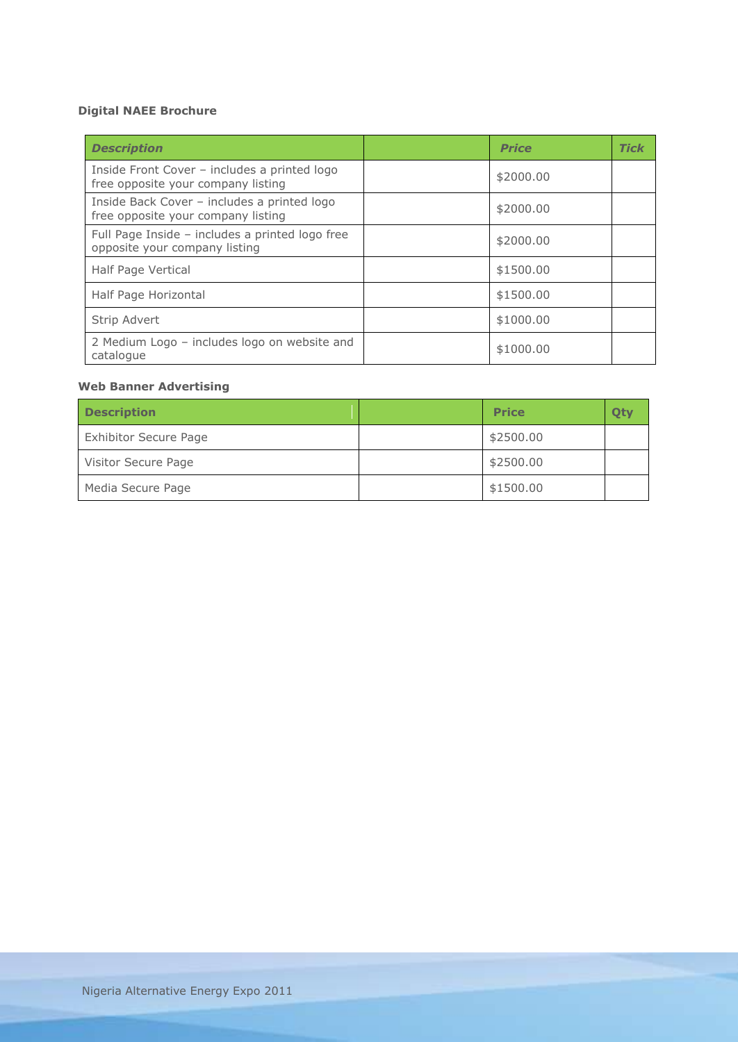## **Digital NAEE Brochure**

| <b>Description</b>                                                                 | <b>Price</b> | <b>Tick</b> |
|------------------------------------------------------------------------------------|--------------|-------------|
| Inside Front Cover - includes a printed logo<br>free opposite your company listing | \$2000.00    |             |
| Inside Back Cover - includes a printed logo<br>free opposite your company listing  | \$2000.00    |             |
| Full Page Inside - includes a printed logo free<br>opposite your company listing   | \$2000.00    |             |
| Half Page Vertical                                                                 | \$1500.00    |             |
| Half Page Horizontal                                                               | \$1500.00    |             |
| Strip Advert                                                                       | \$1000.00    |             |
| 2 Medium Logo - includes logo on website and<br>catalogue                          | \$1000.00    |             |

### **Web Banner Advertising**

| <b>Description</b>           | <b>Price</b> |  |
|------------------------------|--------------|--|
| <b>Exhibitor Secure Page</b> | \$2500.00    |  |
| Visitor Secure Page          | \$2500.00    |  |
| Media Secure Page            | \$1500.00    |  |